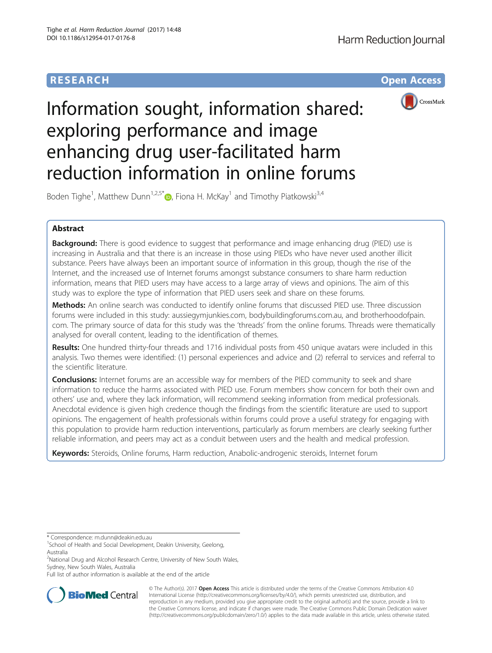# **RESEARCH CHE Open Access**



Information sought, information shared: exploring performance and image enhancing drug user-facilitated harm reduction information in online forums

Boden Tighe<sup>1</sup>[,](http://orcid.org/0000-0003-4615-5078) Matthew Dunn<sup>1,2,5\*</sup> $\bm{\mathsf{\Theta}}$ , Fiona H. McKay<sup>1</sup> and Timothy Piatkowski<sup>3,4</sup>

# Abstract

**Background:** There is good evidence to suggest that performance and image enhancing drug (PIED) use is increasing in Australia and that there is an increase in those using PIEDs who have never used another illicit substance. Peers have always been an important source of information in this group, though the rise of the Internet, and the increased use of Internet forums amongst substance consumers to share harm reduction information, means that PIED users may have access to a large array of views and opinions. The aim of this study was to explore the type of information that PIED users seek and share on these forums.

Methods: An online search was conducted to identify online forums that discussed PIED use. Three discussion forums were included in this study: aussiegymjunkies.com, bodybuildingforums.com.au, and brotherhoodofpain. com. The primary source of data for this study was the 'threads' from the online forums. Threads were thematically analysed for overall content, leading to the identification of themes.

Results: One hundred thirty-four threads and 1716 individual posts from 450 unique avatars were included in this analysis. Two themes were identified: (1) personal experiences and advice and (2) referral to services and referral to the scientific literature.

**Conclusions:** Internet forums are an accessible way for members of the PIED community to seek and share information to reduce the harms associated with PIED use. Forum members show concern for both their own and others' use and, where they lack information, will recommend seeking information from medical professionals. Anecdotal evidence is given high credence though the findings from the scientific literature are used to support opinions. The engagement of health professionals within forums could prove a useful strategy for engaging with this population to provide harm reduction interventions, particularly as forum members are clearly seeking further reliable information, and peers may act as a conduit between users and the health and medical profession.

Keywords: Steroids, Online forums, Harm reduction, Anabolic-androgenic steroids, Internet forum

<sup>2</sup>National Drug and Alcohol Research Centre, University of New South Wales, Sydney, New South Wales, Australia

Full list of author information is available at the end of the article



© The Author(s). 2017 **Open Access** This article is distributed under the terms of the Creative Commons Attribution 4.0 International License [\(http://creativecommons.org/licenses/by/4.0/](http://creativecommons.org/licenses/by/4.0/)), which permits unrestricted use, distribution, and reproduction in any medium, provided you give appropriate credit to the original author(s) and the source, provide a link to the Creative Commons license, and indicate if changes were made. The Creative Commons Public Domain Dedication waiver [\(http://creativecommons.org/publicdomain/zero/1.0/](http://creativecommons.org/publicdomain/zero/1.0/)) applies to the data made available in this article, unless otherwise stated.

<sup>\*</sup> Correspondence: [m.dunn@deakin.edu.au](mailto:m.dunn@deakin.edu.au) <sup>1</sup>

<sup>&</sup>lt;sup>1</sup>School of Health and Social Development, Deakin University, Geelong, Australia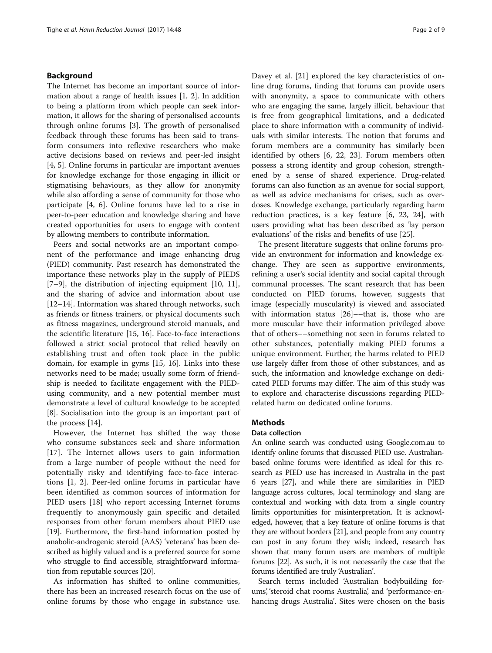### Background

The Internet has become an important source of information about a range of health issues [\[1](#page-7-0), [2\]](#page-7-0). In addition to being a platform from which people can seek information, it allows for the sharing of personalised accounts through online forums [[3\]](#page-7-0). The growth of personalised feedback through these forums has been said to transform consumers into reflexive researchers who make active decisions based on reviews and peer-led insight [[4, 5\]](#page-7-0). Online forums in particular are important avenues for knowledge exchange for those engaging in illicit or stigmatising behaviours, as they allow for anonymity while also affording a sense of community for those who participate [[4, 6](#page-7-0)]. Online forums have led to a rise in peer-to-peer education and knowledge sharing and have created opportunities for users to engage with content by allowing members to contribute information.

Peers and social networks are an important component of the performance and image enhancing drug (PIED) community. Past research has demonstrated the importance these networks play in the supply of PIEDS [[7](#page-7-0)–[9\]](#page-7-0), the distribution of injecting equipment [[10, 11](#page-7-0)], and the sharing of advice and information about use [[12](#page-7-0)–[14](#page-7-0)]. Information was shared through networks, such as friends or fitness trainers, or physical documents such as fitness magazines, underground steroid manuals, and the scientific literature [[15, 16\]](#page-7-0). Face-to-face interactions followed a strict social protocol that relied heavily on establishing trust and often took place in the public domain, for example in gyms [[15, 16\]](#page-7-0). Links into these networks need to be made; usually some form of friendship is needed to facilitate engagement with the PIEDusing community, and a new potential member must demonstrate a level of cultural knowledge to be accepted [[8\]](#page-7-0). Socialisation into the group is an important part of the process [\[14\]](#page-7-0).

However, the Internet has shifted the way those who consume substances seek and share information [[17\]](#page-7-0). The Internet allows users to gain information from a large number of people without the need for potentially risky and identifying face-to-face interactions [[1, 2\]](#page-7-0). Peer-led online forums in particular have been identified as common sources of information for PIED users [[18](#page-7-0)] who report accessing Internet forums frequently to anonymously gain specific and detailed responses from other forum members about PIED use [[19](#page-7-0)]. Furthermore, the first-hand information posted by anabolic-androgenic steroid (AAS) 'veterans' has been described as highly valued and is a preferred source for some who struggle to find accessible, straightforward information from reputable sources [\[20\]](#page-7-0).

As information has shifted to online communities, there has been an increased research focus on the use of online forums by those who engage in substance use. Davey et al. [[21](#page-8-0)] explored the key characteristics of online drug forums, finding that forums can provide users with anonymity, a space to communicate with others who are engaging the same, largely illicit, behaviour that is free from geographical limitations, and a dedicated place to share information with a community of individuals with similar interests. The notion that forums and forum members are a community has similarly been identified by others [\[6](#page-7-0), [22, 23](#page-8-0)]. Forum members often possess a strong identity and group cohesion, strengthened by a sense of shared experience. Drug-related forums can also function as an avenue for social support, as well as advice mechanisms for crises, such as overdoses. Knowledge exchange, particularly regarding harm reduction practices, is a key feature [\[6](#page-7-0), [23, 24](#page-8-0)], with users providing what has been described as 'lay person evaluations' of the risks and benefits of use [\[25\]](#page-8-0).

The present literature suggests that online forums provide an environment for information and knowledge exchange. They are seen as supportive environments, refining a user's social identity and social capital through communal processes. The scant research that has been conducted on PIED forums, however, suggests that image (especially muscularity) is viewed and associated with information status  $[26]$  $[26]$ --that is, those who are more muscular have their information privileged above that of others––something not seen in forums related to other substances, potentially making PIED forums a unique environment. Further, the harms related to PIED use largely differ from those of other substances, and as such, the information and knowledge exchange on dedicated PIED forums may differ. The aim of this study was to explore and characterise discussions regarding PIEDrelated harm on dedicated online forums.

## **Methods**

### Data collection

An online search was conducted using Google.com.au to identify online forums that discussed PIED use. Australianbased online forums were identified as ideal for this research as PIED use has increased in Australia in the past 6 years [\[27\]](#page-8-0), and while there are similarities in PIED language across cultures, local terminology and slang are contextual and working with data from a single country limits opportunities for misinterpretation. It is acknowledged, however, that a key feature of online forums is that they are without borders [\[21](#page-8-0)], and people from any country can post in any forum they wish; indeed, research has shown that many forum users are members of multiple forums [[22](#page-8-0)]. As such, it is not necessarily the case that the forums identified are truly 'Australian'.

Search terms included 'Australian bodybuilding forums', 'steroid chat rooms Australia', and 'performance-enhancing drugs Australia'. Sites were chosen on the basis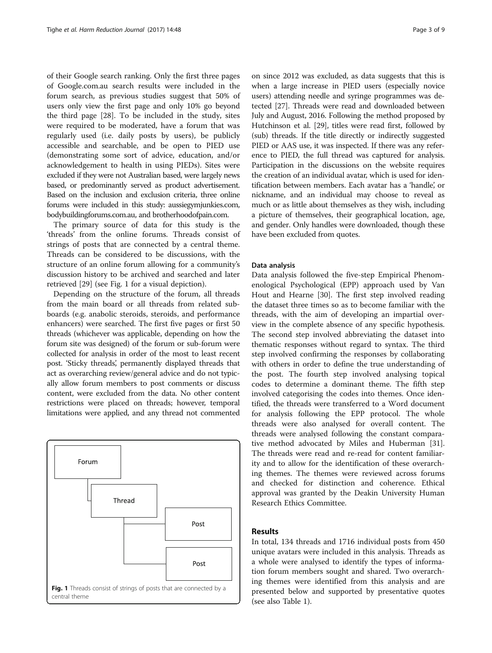of their Google search ranking. Only the first three pages of Google.com.au search results were included in the forum search, as previous studies suggest that 50% of users only view the first page and only 10% go beyond the third page [[28\]](#page-8-0). To be included in the study, sites were required to be moderated, have a forum that was regularly used (i.e. daily posts by users), be publicly accessible and searchable, and be open to PIED use (demonstrating some sort of advice, education, and/or acknowledgement to health in using PIEDs). Sites were excluded if they were not Australian based, were largely news based, or predominantly served as product advertisement. Based on the inclusion and exclusion criteria, three online forums were included in this study: aussiegymjunkies.com, bodybuildingforums.com.au, and brotherhoodofpain.com.

The primary source of data for this study is the 'threads' from the online forums. Threads consist of strings of posts that are connected by a central theme. Threads can be considered to be discussions, with the structure of an online forum allowing for a community's discussion history to be archived and searched and later retrieved [[29\]](#page-8-0) (see Fig. 1 for a visual depiction).

Depending on the structure of the forum, all threads from the main board or all threads from related subboards (e.g. anabolic steroids, steroids, and performance enhancers) were searched. The first five pages or first 50 threads (whichever was applicable, depending on how the forum site was designed) of the forum or sub-forum were collected for analysis in order of the most to least recent post. 'Sticky threads', permanently displayed threads that act as overarching review/general advice and do not typically allow forum members to post comments or discuss content, were excluded from the data. No other content restrictions were placed on threads; however, temporal limitations were applied, and any thread not commented



on since 2012 was excluded, as data suggests that this is when a large increase in PIED users (especially novice users) attending needle and syringe programmes was detected [[27](#page-8-0)]. Threads were read and downloaded between July and August, 2016. Following the method proposed by Hutchinson et al. [\[29\]](#page-8-0), titles were read first, followed by (sub) threads. If the title directly or indirectly suggested PIED or AAS use, it was inspected. If there was any reference to PIED, the full thread was captured for analysis. Participation in the discussions on the website requires the creation of an individual avatar, which is used for identification between members. Each avatar has a 'handle', or nickname, and an individual may choose to reveal as much or as little about themselves as they wish, including a picture of themselves, their geographical location, age, and gender. Only handles were downloaded, though these have been excluded from quotes.

### Data analysis

Data analysis followed the five-step Empirical Phenomenological Psychological (EPP) approach used by Van Hout and Hearne [\[30](#page-8-0)]. The first step involved reading the dataset three times so as to become familiar with the threads, with the aim of developing an impartial overview in the complete absence of any specific hypothesis. The second step involved abbreviating the dataset into thematic responses without regard to syntax. The third step involved confirming the responses by collaborating with others in order to define the true understanding of the post. The fourth step involved analysing topical codes to determine a dominant theme. The fifth step involved categorising the codes into themes. Once identified, the threads were transferred to a Word document for analysis following the EPP protocol. The whole threads were also analysed for overall content. The threads were analysed following the constant comparative method advocated by Miles and Huberman [\[31](#page-8-0)]. The threads were read and re-read for content familiarity and to allow for the identification of these overarching themes. The themes were reviewed across forums and checked for distinction and coherence. Ethical approval was granted by the Deakin University Human Research Ethics Committee.

### Results

In total, 134 threads and 1716 individual posts from 450 unique avatars were included in this analysis. Threads as a whole were analysed to identify the types of information forum members sought and shared. Two overarching themes were identified from this analysis and are presented below and supported by presentative quotes (see also Table [1](#page-3-0)).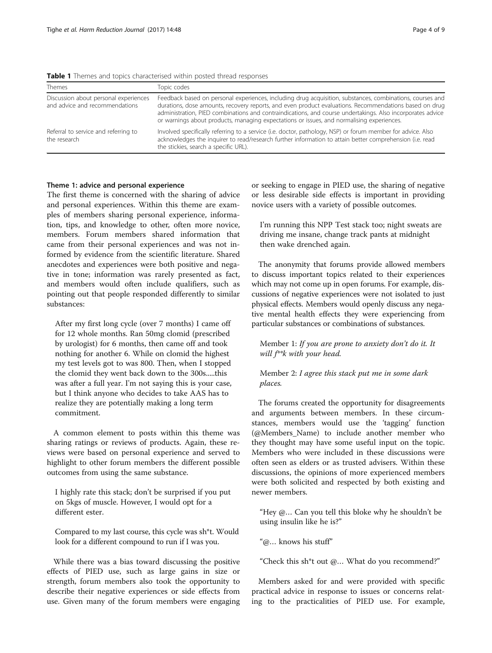<span id="page-3-0"></span>

| Themes                                                                  | Topic codes                                                                                                                                                                                                                                                                                                                                                                                                                    |
|-------------------------------------------------------------------------|--------------------------------------------------------------------------------------------------------------------------------------------------------------------------------------------------------------------------------------------------------------------------------------------------------------------------------------------------------------------------------------------------------------------------------|
| Discussion about personal experiences<br>and advice and recommendations | Feedback based on personal experiences, including drug acquisition, substances, combinations, courses and<br>durations, dose amounts, recovery reports, and even product evaluations. Recommendations based on drug<br>administration, PIED combinations and contraindications, and course undertakings. Also incorporates advice<br>or warnings about products, managing expectations or issues, and normalising experiences. |
| Referral to service and referring to<br>the research                    | Involved specifically referring to a service (i.e. doctor, pathology, NSP) or forum member for advice. Also<br>acknowledges the inquirer to read/research further information to attain better comprehension (i.e. read<br>the stickies, search a specific URL).                                                                                                                                                               |

### Theme 1: advice and personal experience

The first theme is concerned with the sharing of advice and personal experiences. Within this theme are examples of members sharing personal experience, information, tips, and knowledge to other, often more novice, members. Forum members shared information that came from their personal experiences and was not informed by evidence from the scientific literature. Shared anecdotes and experiences were both positive and negative in tone; information was rarely presented as fact, and members would often include qualifiers, such as pointing out that people responded differently to similar substances:

After my first long cycle (over 7 months) I came off for 12 whole months. Ran 50mg clomid (prescribed by urologist) for 6 months, then came off and took nothing for another 6. While on clomid the highest my test levels got to was 800. Then, when I stopped the clomid they went back down to the 300s.....this was after a full year. I'm not saying this is your case, but I think anyone who decides to take AAS has to realize they are potentially making a long term commitment.

A common element to posts within this theme was sharing ratings or reviews of products. Again, these reviews were based on personal experience and served to highlight to other forum members the different possible outcomes from using the same substance.

I highly rate this stack; don't be surprised if you put on 5kgs of muscle. However, I would opt for a different ester.

Compared to my last course, this cycle was sh\*t. Would look for a different compound to run if I was you.

While there was a bias toward discussing the positive effects of PIED use, such as large gains in size or strength, forum members also took the opportunity to describe their negative experiences or side effects from use. Given many of the forum members were engaging or seeking to engage in PIED use, the sharing of negative or less desirable side effects is important in providing novice users with a variety of possible outcomes.

I'm running this NPP Test stack too; night sweats are driving me insane, change track pants at midnight then wake drenched again.

The anonymity that forums provide allowed members to discuss important topics related to their experiences which may not come up in open forums. For example, discussions of negative experiences were not isolated to just physical effects. Members would openly discuss any negative mental health effects they were experiencing from particular substances or combinations of substances.

Member 1: If you are prone to anxiety don't do it. It will f\*\*k with your head.

# Member 2: I agree this stack put me in some dark places.

The forums created the opportunity for disagreements and arguments between members. In these circumstances, members would use the 'tagging' function (@Members\_Name) to include another member who they thought may have some useful input on the topic. Members who were included in these discussions were often seen as elders or as trusted advisers. Within these discussions, the opinions of more experienced members were both solicited and respected by both existing and newer members.

"Hey @… Can you tell this bloke why he shouldn't be using insulin like he is?"

"@… knows his stuff"

"Check this sh\*t out @… What do you recommend?"

Members asked for and were provided with specific practical advice in response to issues or concerns relating to the practicalities of PIED use. For example,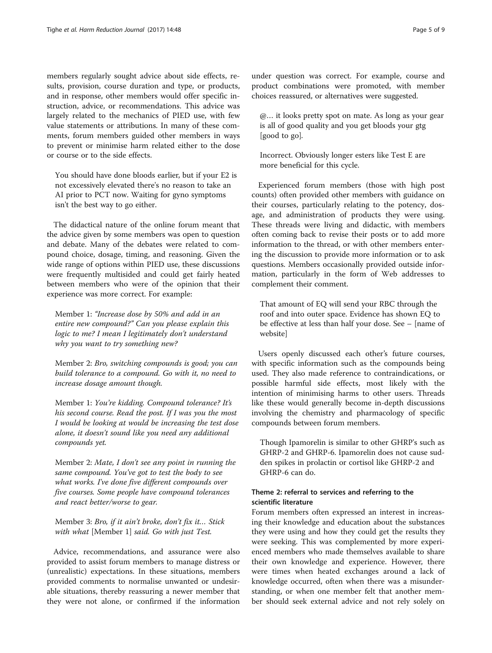members regularly sought advice about side effects, results, provision, course duration and type, or products, and in response, other members would offer specific instruction, advice, or recommendations. This advice was largely related to the mechanics of PIED use, with few value statements or attributions. In many of these comments, forum members guided other members in ways to prevent or minimise harm related either to the dose or course or to the side effects.

You should have done bloods earlier, but if your E2 is not excessively elevated there's no reason to take an AI prior to PCT now. Waiting for gyno symptoms isn't the best way to go either.

The didactical nature of the online forum meant that the advice given by some members was open to question and debate. Many of the debates were related to compound choice, dosage, timing, and reasoning. Given the wide range of options within PIED use, these discussions were frequently multisided and could get fairly heated between members who were of the opinion that their experience was more correct. For example:

Member 1: "Increase dose by 50% and add in an entire new compound?" Can you please explain this logic to me? I mean I legitimately don't understand why you want to try something new?

Member 2: Bro, switching compounds is good; you can build tolerance to a compound. Go with it, no need to increase dosage amount though.

Member 1: You're kidding. Compound tolerance? It's his second course. Read the post. If I was you the most I would be looking at would be increasing the test dose alone, it doesn't sound like you need any additional compounds yet.

Member 2: Mate, I don't see any point in running the same compound. You've got to test the body to see what works. I've done five different compounds over five courses. Some people have compound tolerances and react better/worse to gear.

Member 3: Bro, if it ain't broke, don't fix it… Stick with what [Member 1] said. Go with just Test.

Advice, recommendations, and assurance were also provided to assist forum members to manage distress or (unrealistic) expectations. In these situations, members provided comments to normalise unwanted or undesirable situations, thereby reassuring a newer member that they were not alone, or confirmed if the information under question was correct. For example, course and product combinations were promoted, with member choices reassured, or alternatives were suggested.

@… it looks pretty spot on mate. As long as your gear is all of good quality and you get bloods your gtg [good to go].

Incorrect. Obviously longer esters like Test E are more beneficial for this cycle.

Experienced forum members (those with high post counts) often provided other members with guidance on their courses, particularly relating to the potency, dosage, and administration of products they were using. These threads were living and didactic, with members often coming back to revise their posts or to add more information to the thread, or with other members entering the discussion to provide more information or to ask questions. Members occasionally provided outside information, particularly in the form of Web addresses to complement their comment.

That amount of EQ will send your RBC through the roof and into outer space. Evidence has shown EQ to be effective at less than half your dose. See – [name of website]

Users openly discussed each other's future courses, with specific information such as the compounds being used. They also made reference to contraindications, or possible harmful side effects, most likely with the intention of minimising harms to other users. Threads like these would generally become in-depth discussions involving the chemistry and pharmacology of specific compounds between forum members.

Though Ipamorelin is similar to other GHRP's such as GHRP-2 and GHRP-6. Ipamorelin does not cause sudden spikes in prolactin or cortisol like GHRP-2 and GHRP-6 can do.

### Theme 2: referral to services and referring to the scientific literature

Forum members often expressed an interest in increasing their knowledge and education about the substances they were using and how they could get the results they were seeking. This was complemented by more experienced members who made themselves available to share their own knowledge and experience. However, there were times when heated exchanges around a lack of knowledge occurred, often when there was a misunderstanding, or when one member felt that another member should seek external advice and not rely solely on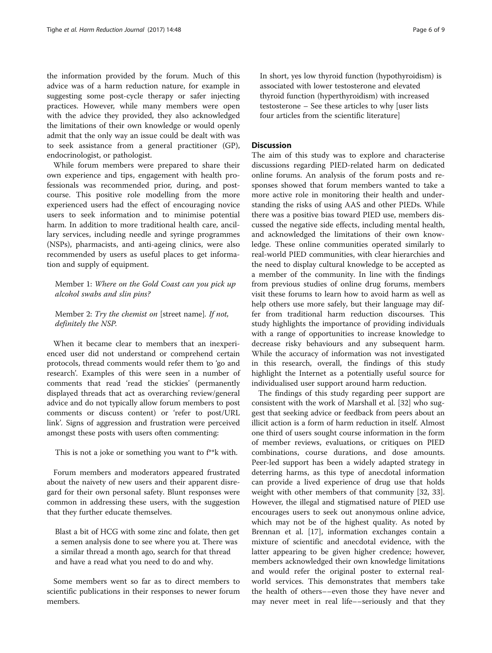the information provided by the forum. Much of this advice was of a harm reduction nature, for example in suggesting some post-cycle therapy or safer injecting practices. However, while many members were open with the advice they provided, they also acknowledged the limitations of their own knowledge or would openly admit that the only way an issue could be dealt with was to seek assistance from a general practitioner (GP), endocrinologist, or pathologist.

While forum members were prepared to share their own experience and tips, engagement with health professionals was recommended prior, during, and postcourse. This positive role modelling from the more experienced users had the effect of encouraging novice users to seek information and to minimise potential harm. In addition to more traditional health care, ancillary services, including needle and syringe programmes (NSPs), pharmacists, and anti-ageing clinics, were also recommended by users as useful places to get information and supply of equipment.

Member 1: Where on the Gold Coast can you pick up alcohol swabs and slin pins?

Member 2: Try the chemist on [street name]. If not, definitely the NSP.

When it became clear to members that an inexperienced user did not understand or comprehend certain protocols, thread comments would refer them to 'go and research'. Examples of this were seen in a number of comments that read 'read the stickies' (permanently displayed threads that act as overarching review/general advice and do not typically allow forum members to post comments or discuss content) or 'refer to post/URL link'. Signs of aggression and frustration were perceived amongst these posts with users often commenting:

This is not a joke or something you want to f\*\*k with.

Forum members and moderators appeared frustrated about the naivety of new users and their apparent disregard for their own personal safety. Blunt responses were common in addressing these users, with the suggestion that they further educate themselves.

Blast a bit of HCG with some zinc and folate, then get a semen analysis done to see where you at. There was a similar thread a month ago, search for that thread and have a read what you need to do and why.

Some members went so far as to direct members to scientific publications in their responses to newer forum members.

In short, yes low thyroid function (hypothyroidism) is associated with lower testosterone and elevated thyroid function (hyperthyroidism) with increased testosterone – See these articles to why [user lists four articles from the scientific literature]

## **Discussion**

The aim of this study was to explore and characterise discussions regarding PIED-related harm on dedicated online forums. An analysis of the forum posts and responses showed that forum members wanted to take a more active role in monitoring their health and understanding the risks of using AAS and other PIEDs. While there was a positive bias toward PIED use, members discussed the negative side effects, including mental health, and acknowledged the limitations of their own knowledge. These online communities operated similarly to real-world PIED communities, with clear hierarchies and the need to display cultural knowledge to be accepted as a member of the community. In line with the findings from previous studies of online drug forums, members visit these forums to learn how to avoid harm as well as help others use more safely, but their language may differ from traditional harm reduction discourses. This study highlights the importance of providing individuals with a range of opportunities to increase knowledge to decrease risky behaviours and any subsequent harm. While the accuracy of information was not investigated in this research, overall, the findings of this study highlight the Internet as a potentially useful source for individualised user support around harm reduction.

The findings of this study regarding peer support are consistent with the work of Marshall et al. [[32\]](#page-8-0) who suggest that seeking advice or feedback from peers about an illicit action is a form of harm reduction in itself. Almost one third of users sought course information in the form of member reviews, evaluations, or critiques on PIED combinations, course durations, and dose amounts. Peer-led support has been a widely adapted strategy in deterring harms, as this type of anecdotal information can provide a lived experience of drug use that holds weight with other members of that community [[32, 33](#page-8-0)]. However, the illegal and stigmatised nature of PIED use encourages users to seek out anonymous online advice, which may not be of the highest quality. As noted by Brennan et al. [\[17\]](#page-7-0), information exchanges contain a mixture of scientific and anecdotal evidence, with the latter appearing to be given higher credence; however, members acknowledged their own knowledge limitations and would refer the original poster to external realworld services. This demonstrates that members take the health of others––even those they have never and may never meet in real life––seriously and that they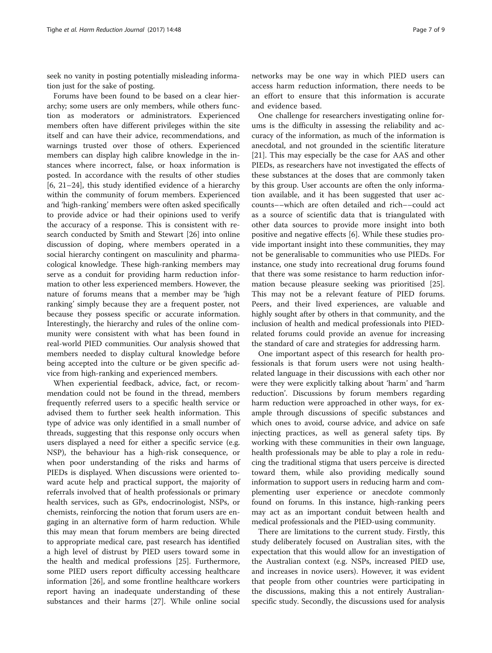seek no vanity in posting potentially misleading information just for the sake of posting.

Forums have been found to be based on a clear hierarchy; some users are only members, while others function as moderators or administrators. Experienced members often have different privileges within the site itself and can have their advice, recommendations, and warnings trusted over those of others. Experienced members can display high calibre knowledge in the instances where incorrect, false, or hoax information is posted. In accordance with the results of other studies [[6,](#page-7-0) [21](#page-8-0)–[24](#page-8-0)], this study identified evidence of a hierarchy within the community of forum members. Experienced and 'high-ranking' members were often asked specifically to provide advice or had their opinions used to verify the accuracy of a response. This is consistent with research conducted by Smith and Stewart [[26\]](#page-8-0) into online discussion of doping, where members operated in a social hierarchy contingent on masculinity and pharmacological knowledge. These high-ranking members may serve as a conduit for providing harm reduction information to other less experienced members. However, the nature of forums means that a member may be 'high ranking' simply because they are a frequent poster, not because they possess specific or accurate information. Interestingly, the hierarchy and rules of the online community were consistent with what has been found in real-world PIED communities. Our analysis showed that members needed to display cultural knowledge before being accepted into the culture or be given specific advice from high-ranking and experienced members.

When experiential feedback, advice, fact, or recommendation could not be found in the thread, members frequently referred users to a specific health service or advised them to further seek health information. This type of advice was only identified in a small number of threads, suggesting that this response only occurs when users displayed a need for either a specific service (e.g. NSP), the behaviour has a high-risk consequence, or when poor understanding of the risks and harms of PIEDs is displayed. When discussions were oriented toward acute help and practical support, the majority of referrals involved that of health professionals or primary health services, such as GPs, endocrinologist, NSPs, or chemists, reinforcing the notion that forum users are engaging in an alternative form of harm reduction. While this may mean that forum members are being directed to appropriate medical care, past research has identified a high level of distrust by PIED users toward some in the health and medical professions [\[25\]](#page-8-0). Furthermore, some PIED users report difficulty accessing healthcare information [[26\]](#page-8-0), and some frontline healthcare workers report having an inadequate understanding of these substances and their harms [\[27](#page-8-0)]. While online social

networks may be one way in which PIED users can access harm reduction information, there needs to be an effort to ensure that this information is accurate and evidence based.

One challenge for researchers investigating online forums is the difficulty in assessing the reliability and accuracy of the information, as much of the information is anecdotal, and not grounded in the scientific literature [[21\]](#page-8-0). This may especially be the case for AAS and other PIEDs, as researchers have not investigated the effects of these substances at the doses that are commonly taken by this group. User accounts are often the only information available, and it has been suggested that user accounts––which are often detailed and rich––could act as a source of scientific data that is triangulated with other data sources to provide more insight into both positive and negative effects [\[6](#page-7-0)]. While these studies provide important insight into these communities, they may not be generalisable to communities who use PIEDs. For instance, one study into recreational drug forums found that there was some resistance to harm reduction information because pleasure seeking was prioritised [\[25](#page-8-0)]. This may not be a relevant feature of PIED forums. Peers, and their lived experiences, are valuable and highly sought after by others in that community, and the inclusion of health and medical professionals into PIEDrelated forums could provide an avenue for increasing the standard of care and strategies for addressing harm.

One important aspect of this research for health professionals is that forum users were not using healthrelated language in their discussions with each other nor were they were explicitly talking about 'harm' and 'harm reduction'. Discussions by forum members regarding harm reduction were approached in other ways, for example through discussions of specific substances and which ones to avoid, course advice, and advice on safe injecting practices, as well as general safety tips. By working with these communities in their own language, health professionals may be able to play a role in reducing the traditional stigma that users perceive is directed toward them, while also providing medically sound information to support users in reducing harm and complementing user experience or anecdote commonly found on forums. In this instance, high-ranking peers may act as an important conduit between health and medical professionals and the PIED-using community.

There are limitations to the current study. Firstly, this study deliberately focused on Australian sites, with the expectation that this would allow for an investigation of the Australian context (e.g. NSPs, increased PIED use, and increases in novice users). However, it was evident that people from other countries were participating in the discussions, making this a not entirely Australianspecific study. Secondly, the discussions used for analysis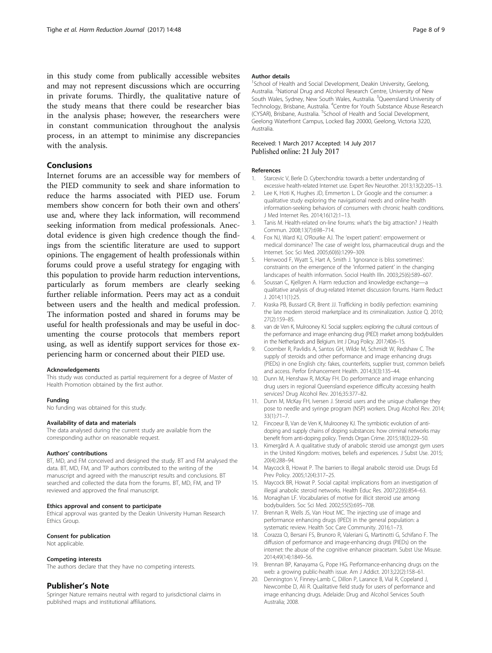<span id="page-7-0"></span>in this study come from publically accessible websites and may not represent discussions which are occurring in private forums. Thirdly, the qualitative nature of the study means that there could be researcher bias in the analysis phase; however, the researchers were in constant communication throughout the analysis process, in an attempt to minimise any discrepancies with the analysis.

# Conclusions

Internet forums are an accessible way for members of the PIED community to seek and share information to reduce the harms associated with PIED use. Forum members show concern for both their own and others' use and, where they lack information, will recommend seeking information from medical professionals. Anecdotal evidence is given high credence though the findings from the scientific literature are used to support opinions. The engagement of health professionals within forums could prove a useful strategy for engaging with this population to provide harm reduction interventions, particularly as forum members are clearly seeking further reliable information. Peers may act as a conduit between users and the health and medical profession. The information posted and shared in forums may be useful for health professionals and may be useful in documenting the course protocols that members report using, as well as identify support services for those experiencing harm or concerned about their PIED use.

#### Acknowledgements

This study was conducted as partial requirement for a degree of Master of Health Promotion obtained by the first author.

#### Funding

No funding was obtained for this study.

#### Availability of data and materials

The data analysed during the current study are available from the corresponding author on reasonable request.

#### Authors' contributions

BT, MD, and FM conceived and designed the study. BT and FM analysed the data. BT, MD, FM, and TP authors contributed to the writing of the manuscript and agreed with the manuscript results and conclusions. BT searched and collected the data from the forums. BT, MD, FM, and TP reviewed and approved the final manuscript.

#### Ethics approval and consent to participate

Ethical approval was granted by the Deakin University Human Research Ethics Group.

#### Consent for publication

Not applicable.

#### Competing interests

The authors declare that they have no competing interests.

### Publisher's Note

Springer Nature remains neutral with regard to jurisdictional claims in published maps and institutional affiliations.

#### Author details

<sup>1</sup>School of Health and Social Development, Deakin University, Geelong, Australia. <sup>2</sup>National Drug and Alcohol Research Centre, University of New South Wales, Sydney, New South Wales, Australia. <sup>3</sup>Queensland University of Technology, Brisbane, Australia. <sup>4</sup>Centre for Youth Substance Abuse Research (CYSAR), Brisbane, Australia. <sup>5</sup>School of Health and Social Development, Geelong Waterfront Campus, Locked Bag 20000, Geelong, Victoria 3220, Australia.

### Received: 1 March 2017 Accepted: 14 July 2017 Published online: 21 July 2017

#### References

- 1. Starcevic V, Berle D. Cyberchondria: towards a better understanding of excessive health-related Internet use. Expert Rev Neurother. 2013;13(2):205–13.
- 2. Lee K, Hoti K, Hughes JD, Emmerton L. Dr Google and the consumer: a qualitative study exploring the navigational needs and online health information-seeking behaviors of consumers with chronic health conditions. J Med Internet Res. 2014;16(12):1–13.
- 3. Tanis M. Health-related on-line forums: what's the big attraction? J Health Commun. 2008;13(7):698–714.
- 4. Fox NJ, Ward KJ, O'Rourke AJ. The 'expert patient': empowerment or medical dominance? The case of weight loss, pharmaceutical drugs and the Internet. Soc Sci Med. 2005;60(6):1299–309.
- 5. Henwood F, Wyatt S, Hart A, Smith J. 'Ignorance is bliss sometimes': constraints on the emergence of the 'informed patient' in the changing landscapes of health information. Sociol Health Illn. 2003;25(6):589–607.
- 6. Soussan C, Kjellgren A. Harm reduction and knowledge exchange—a qualitative analysis of drug-related Internet discussion forums. Harm Reduct J. 2014;11(1):25.
- 7. Kraska PB, Bussard CR, Brent JJ. Trafficking in bodily perfection: examining the late modern steroid marketplace and its criminalization. Justice Q. 2010; 27(2):159–85.
- van de Ven K, Mulrooney KJ. Social suppliers: exploring the cultural contours of the performance and image enhancing drug (PIED) market among bodybuilders in the Netherlands and Belgium. Int J Drug Policy. 2017;40:6–15.
- 9. Coomber R, Pavlidis A, Santos GH, Wilde M, Schmidt W, Redshaw C. The supply of steroids and other performance and image enhancing drugs (PIEDs) in one English city: fakes, counterfeits, supplier trust, common beliefs and access. Perfor Enhancement Health. 2014;3(3):135–44.
- 10. Dunn M, Henshaw R, McKay FH. Do performance and image enhancing drug users in regional Queensland experience difficulty accessing health services? Drug Alcohol Rev. 2016;35:377–82.
- 11. Dunn M, McKay FH, Iversen J. Steroid users and the unique challenge they pose to needle and syringe program (NSP) workers. Drug Alcohol Rev. 2014; 33(1):71–7.
- 12. Fincoeur B, Van de Ven K, Mulrooney KJ. The symbiotic evolution of antidoping and supply chains of doping substances: how criminal networks may benefit from anti-doping policy. Trends Organ Crime. 2015;18(3):229–50.
- 13. Kimergård A. A qualitative study of anabolic steroid use amongst gym users in the United Kingdom: motives, beliefs and experiences. J Subst Use. 2015; 20(4):288–94.
- 14. Maycock B, Howat P. The barriers to illegal anabolic steroid use. Drugs Ed Prev Policy. 2005;12(4):317–25.
- 15. Maycock BR, Howat P. Social capital: implications from an investigation of illegal anabolic steroid networks. Health Educ Res. 2007;22(6):854–63.
- 16. Monaghan LF. Vocabularies of motive for illicit steroid use among bodybuilders. Soc Sci Med. 2002;55(5):695–708.
- 17. Brennan R, Wells JS, Van Hout MC. The injecting use of image and performance enhancing drugs (IPED) in the general population: a systematic review. Health Soc Care Community. 2016;1–73.
- 18. Corazza O, Bersani FS, Brunoro R, Valeriani G, Martinotti G, Schifano F. The diffusion of performance and image-enhancing drugs (PIEDs) on the internet: the abuse of the cognitive enhancer piracetam. Subst Use Misuse. 2014;49(14):1849–56.
- 19. Brennan BP, Kanayama G, Pope HG. Performance-enhancing drugs on the web: a growing public-health issue. Am J Addict. 2013;22(2):158–61.
- 20. Dennington V, Finney-Lamb C, Dillon P, Larance B, Vial R, Copeland J, Newcombe D, Ali R. Qualitative field study for users of performance and image enhancing drugs. Adelaide: Drug and Alcohol Services South Australia; 2008.